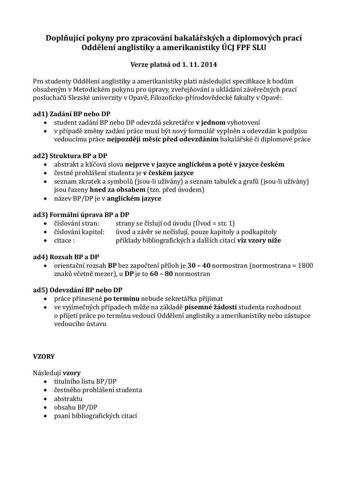## **Doplňující pokyny pro zpracování bakalářských a diplomových prací Oddělení anglistiky a amerikanistiky ÚCJ FPF SLU**

## **Verze platná od 1. 11. 2014**

Pro studenty Oddělení anglistiky a amerikanistiky plati následující specifikace k bodům obsaženým v Metodickém pokynu pro úpravy, zveřejňování a ukládání závěrečných prací posluchačů Slezské univerzity v Opavě, Filozoficko-přírodovědecké fakulty v Opavě:

#### **ad1) Zadání BP nebo DP**

- **•** student zadání BP nebo DP odevzdá sekretářce v jednom vyhotovení
- v případě změny zadání práce musí být nový formulář vyplněn a odevzdán k podpisu vedoucímu práce nejpozději měsíc před odevzdáním bakalářské či diplomové práce

#### **ad2) Struktura BP a DP**

- **•** abstrakt a klíčová slova nejprve v jazyce anglickém a poté v jazyce českém
- **e** čestné prohlášení studenta je **v českém jazyce**
- seznam zkratek a symbolů (jsou-li užívány) a seznam tabulek a grafů (jsou-li užívány) jsou řazeny **hned za obsahem** (tzn. před úvodem)
- **•** název BP/DP je v **anglickém jazyce**

#### **ad3) Formální úprava BP a DP**

- čí slování stran: strany se čí slují od úvodu  $(\hat{U}$ vod = str. 1)
- číslování kapitol: úvod a závěr se nečíslují, pouze kapitoly a podkapitoly
- **•** citace : příklady bibliografických a dalších citací **viz vzory níže**

## **ad4) Rozsah BP a DP**

orientační rozsah **BP** bez započtení příloh je **30 – 40** normostran (normostrana = 1800 žnaku vc etne mežer), u **DP** je to **60 – 80** normostran

## **ad5) Odevzdání BP nebo DP**

- **•** práce přinesené **po termínu** nebude sekretářka přijímat
- ve vyjí mečných případech může na základě **písemné žádosti** studenta rozhodnout o přijetí práce po termínu vedoucí Oddělení anglistiky a amerikanistiky nebo zástupce vedoucího ústavu

#### **VZORY**

#### Následují **vzory**

- $\bullet$  titulního listu BP/DP
- čestného prohlášení studenta
- abstraktu
- obsahu BP/DP
- psaní bibliografický ch citací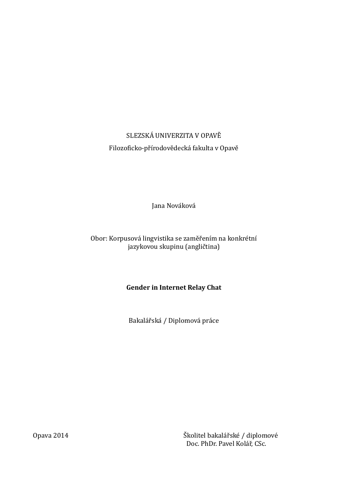# SLEZSKÁ UNIVERZITA V OPAVĚ Filozoficko-přírodovědecká fakulta v Opavě

Jana Nováková

## Obor: Korpusová lingvistika se zaměřením na konkrétní jazykovou skupinu (angličtina)

## **Gender in Internet Relay Chat**

Bakalářská / Diplomová práce

Opava 2014 **Skelitel bakalářské / diplomové** Doc. PhDr. Pavel Kolář, CSc.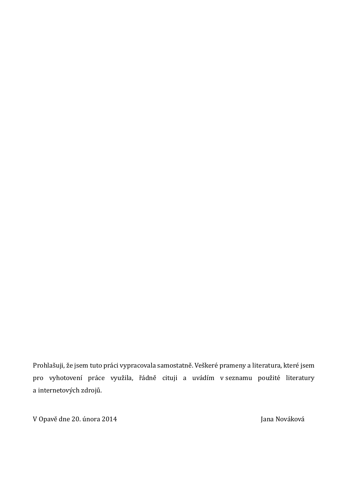Prohlašuji, že jsem tuto práci vypracovala samostatně. Veškeré prameny a literatura, které jsem pro vyhotovení práce využila, řádně cituji a uvádím v seznamu použité literatury a internetových zdrojů.

V Opavě dne 20. února 2014 v vládní se vysobech v vládní se vysobech v vládch v Jana Nováková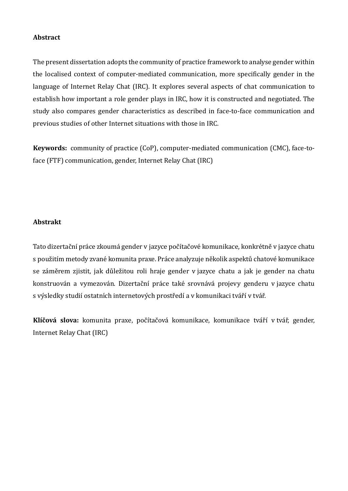#### **Abstract**

The present dissertation adopts the community of practice framework to analyse gender within the localised context of computer-mediated communication, more specifically gender in the language of Internet Relay Chat (IRC). It explores several aspects of chat communication to establish how important a role gender plays in IRC, how it is constructed and negotiated. The study also compares gender characteristics as described in face-to-face communication and previous studies of other Internet situations with those in IRC.

**Keywords:** community of practice (CoP), computer-mediated communication (CMC), face-toface (FTF) communication, gender, Internet Relay Chat (IRC)

#### **Abstrakt**

Tato dizertační práce zkoumá gender v jazyce počítačové komunikace, konkrétně v jazyce chatu s použitím metody zvané komunita praxe. Práce analyzuje několik aspektů chatové komunikace se záměrem zjistit, jak důležitou roli hraje gender v jazyce chatu a jak je gender na chatu konstruován a vymezován. Dizertační práce také srovnává projevy genderu v jazyce chatu s výsledky studií ostatních internetových prostředí a v komunikaci tváří v tvář.

Klíčová slova: komunita praxe, počítačová komunikace, komunikace tváří v tvář, gender, Internet Relay Chat (IRC)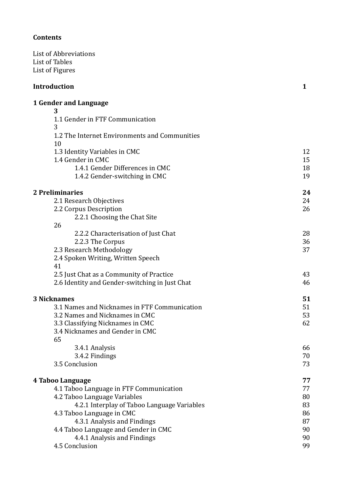## **Contents**

List of Ábbreviations List of Tables List of Figures

## **Introduction** 1

#### **1 Gender and Language**

| 3                                              |    |
|------------------------------------------------|----|
| 1.1 Gender in FTF Communication                |    |
| 3                                              |    |
| 1.2 The Internet Environments and Communities  |    |
| 10                                             |    |
| 1.3 Identity Variables in CMC                  | 12 |
| 1.4 Gender in CMC                              | 15 |
| 1.4.1 Gender Differences in CMC                | 18 |
| 1.4.2 Gender-switching in CMC                  | 19 |
| 2 Preliminaries                                | 24 |
| 2.1 Research Objectives                        | 24 |
| 2.2 Corpus Description                         | 26 |
| 2.2.1 Choosing the Chat Site                   |    |
| 26                                             |    |
| 2.2.2 Characterisation of Just Chat            | 28 |
| 2.2.3 The Corpus                               | 36 |
| 2.3 Research Methodology                       | 37 |
| 2.4 Spoken Writing, Written Speech             |    |
| 41                                             |    |
| 2.5 Just Chat as a Community of Practice       | 43 |
| 2.6 Identity and Gender-switching in Just Chat | 46 |
| <b>3 Nicknames</b>                             | 51 |
| 3.1 Names and Nicknames in FTF Communication   | 51 |
| 3.2 Names and Nicknames in CMC                 | 53 |
| 3.3 Classifying Nicknames in CMC               | 62 |
| 3.4 Nicknames and Gender in CMC                |    |
| 65                                             |    |
| 3.4.1 Analysis                                 | 66 |
| 3.4.2 Findings                                 | 70 |
| 3.5 Conclusion                                 | 73 |
| 4 Taboo Language                               | 77 |
| 4.1 Taboo Language in FTF Communication        | 77 |
| 4.2 Taboo Language Variables                   | 80 |
| 4.2.1 Interplay of Taboo Language Variables    | 83 |
| 4.3 Taboo Language in CMC                      | 86 |
| 4.3.1 Analysis and Findings                    | 87 |
| 4.4 Taboo Language and Gender in CMC           | 90 |
| 4.4.1 Analysis and Findings                    | 90 |
| 4.5 Conclusion                                 | 99 |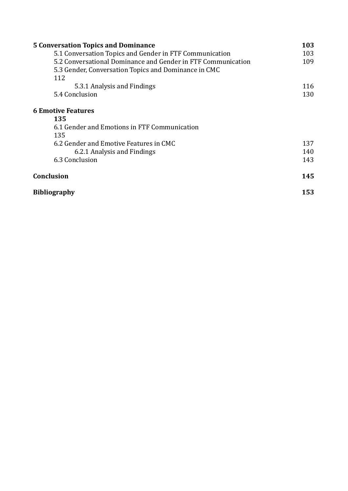| <b>5 Conversation Topics and Dominance</b>                   |     |
|--------------------------------------------------------------|-----|
| 5.1 Conversation Topics and Gender in FTF Communication      | 103 |
| 5.2 Conversational Dominance and Gender in FTF Communication | 109 |
| 5.3 Gender, Conversation Topics and Dominance in CMC         |     |
| 112                                                          |     |
| 5.3.1 Analysis and Findings                                  | 116 |
| 5.4 Conclusion                                               | 130 |
| <b>6 Emotive Features</b>                                    |     |
| 135                                                          |     |
| 6.1 Gender and Emotions in FTF Communication                 |     |
| 135                                                          |     |
| 6.2 Gender and Emotive Features in CMC                       | 137 |
| 6.2.1 Analysis and Findings                                  | 140 |
| 6.3 Conclusion                                               | 143 |
| <b>Conclusion</b>                                            |     |
| <b>Bibliography</b>                                          |     |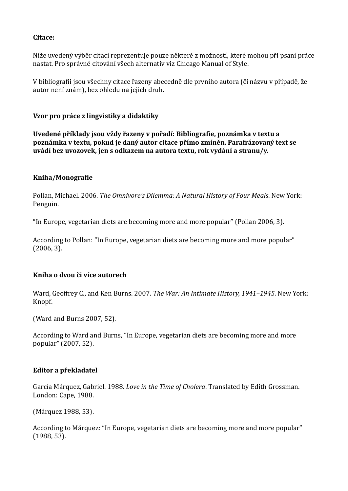#### **Citace:**

Níže uvedený výběr citací reprezentuje pouze některé z možností, které mohou při psaní práce nastat. Pro správné citování všech alternativ viz Chicago Manual of Style.

V bibliografii jsou všechny citace řazeny abecedně dle prvního autora (či názvu v případě, že autor není znám), bez ohledu na jejich druh.

#### **Vzor pro práce z lingvistiky a didaktiky**

**Uvedené příklady jsou vždy řazeny v pořadí: Bibliografie, poznámka v textu a poznámka v textu, pokud je daný autor citace přímo zmíněn. Parafrázovaný text se uvádí bez uvozovek, jen s odkazem na autora textu, rok vydání a stranu/y.**

#### **Kniha/Monografie**

Pollan, Michael. 2006. *The Omnivore's Dilemma: A Natural History of Four Meals*. New York: Penguin.

"In Europe, vegetarian diets are becoming more and more popular" (Pollan 2006, 3).

Áccording to Pollan: "In Europe, vegetarian diets are becoming more and more popular" (2006, 3).

#### **Kniha o dvou či více autorech**

Ward, Geoffrey C., and Ken Burns. 2007. *The War: An Intimate History, 1941–1945*. New York: Knopf.

(Ward and Burns 2007, 52).

Áccording to Ward and Burns, "In Europe, vegetarian diets are becoming more and more popular" (2007, 52).

#### **Editor a překladatel**

García Márquez, Gabriel. 1988. *Love in the Time of Cholera*. Translated by Edith Grossman. London: Cape, 1988.

(Márquez 1988, 53).

According to Márquez: "In Europe, vegetarian diets are becoming more and more popular" (1988, 53).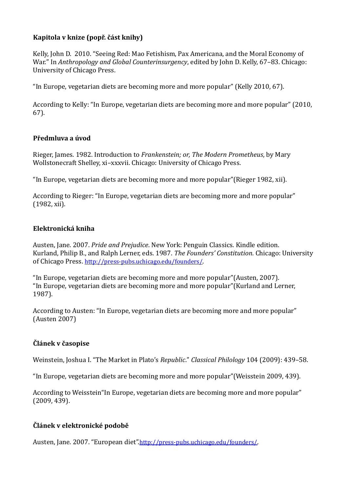## **Kapitola v knize (popř. část knihy)**

Kelly, John D. 2010. "Seeing Red: Mao Fetishism, Pax Ámericana, and the Moral Economy of War." In *Anthropology and Global Counterinsurgency*, edited by John D. Kelly, 67–83. Chicago: Úniversity of Chicago Press.

"In Europe, vegetarian diets are becoming more and more popular" (Kelly 2010, 67).

Áccording to Kelly: "In Europe, vegetarian diets are becoming more and more popular" (2010, 67).

## **Předmluva a úvod**

Rieger, James. 1982. Introduction to *Frankenstein; or, The Modern Prometheus*, by Mary Wollstonecraft Shelley, xi–xxxvii. Chicago: Úniversity of Chicago Press.

"In Europe, vegetarian diets are becoming more and more popular"(Rieger 1982, xii).

Áccording to Rieger: "In Europe, vegetarian diets are becoming more and more popular" (1982, xii).

#### **Elektronická kniha**

Áusten, Jane. 2007. *Pride and Prejudice*. New York: Penguin Classics. Kindle edition. Kurland, Philip B., and Ralph Lerner, eds. 1987. *The Founders' Constitution*. Chicago: Úniversity of Chicago Press. <http://press-pubs.uchicago.edu/founders/>.

"In Europe, vegetarian diets are becoming more and more popular"(Áusten, 2007). "In Europe, vegetarian diets are becoming more and more popular"(Kurland and Lerner, 1987).

Áccording to Áusten: "In Europe, vegetarian diets are becoming more and more popular" (Áusten 2007)

#### **Článek v časopise**

Weinstein, Joshua I. "The Market in Plato's *Republic*." *Classical Philology* 104 (2009): 439–58.

"In Europe, vegetarian diets are becoming more and more popular"(Weisstein 2009, 439).

Áccording to Weisstein"In Europe, vegetarian diets are becoming more and more popular" (2009, 439).

#### **Článek v elektronické podobě**

Áusten, Jane. 2007. "European diet".<http://press-pubs.uchicago.edu/founders/>.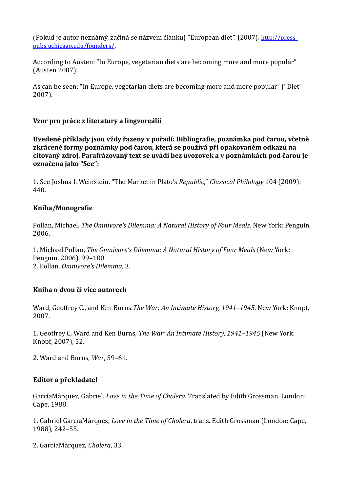(Pokud je autor neznámý, začíná se názvem článku) "European diet". (2007). [http://press](http://press-pubs.uchicago.edu/founders/)[pubs.uchicago.edu/founders/](http://press-pubs.uchicago.edu/founders/).

Áccording to Áusten: "In Europe, vegetarian diets are becoming more and more popular" (Áusten 2007).

Ás can be seen: "In Europe, vegetarian diets are becoming more and more popular" ("Diet" 2007).

## **Vzor pro práce z literatury a lingvoreálií**

**Uvedené příklady jsou vždy řazeny v pořadí: Bibliografie, poznámka pod čarou, včetně zkrácené formy poznámky pod čarou, která se používá při opakovaném odkazu na citovaný zdroj. Parafrázovaný text se uvádí bez uvozovek a v poznámkách pod čarou je označena jako "See":**

1. See Joshua I. Weinstein, "The Market in Plato's *Republic*," *Classical Philology* 104 (2009): 440.

#### **Kniha/Monografie**

Pollan, Michael. *The Omnivore's Dilemma: A Natural History of Four Meals*. New York: Penguin, 2006.

1. Michael Pollan, *The Omnivore's Dilemma: A Natural History of Four Meals* (New York: Penguin, 2006), 99–100. 2. Pollan, *Omnivore's Dilemma*, 3.

#### **Kniha o dvou či více autorech**

Ward, Geoffrey C., and Ken Burns.*The War: An Intimate History, 1941–1945*. New York: Knopf, 2007.

1. Geoffrey C. Ward and Ken Burns, *The War: An Intimate History, 1941–1945* (New York: Knopf, 2007), 52.

2. Ward and Burns, *War*, 59–61.

## **Editor a překladatel**

Garcí a Márquez, Gabriel. *Love in the Time of Cholera*. Translated by Edith Grossman. London: Cape, 1988.

1. Gabriel GarcíaMárquez, *Love in the Time of Cholera*, trans. Edith Grossman (London: Cape, 1988), 242–55.

2. GarcíaMárquez, *Cholera*, 33.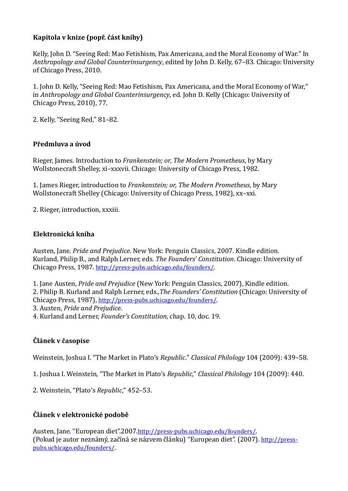## **Kapitola v knize (popř. část knihy)**

Kelly, John D. "Seeing Red: Mao Fetishism, Pax Ámericana, and the Moral Economy of War." In *Anthropology and Global Counterinsurgency*, edited by John D. Kelly, 67–83. Chicago: Úniversity of Chicago Press, 2010.

1. John D. Kelly, "Seeing Red: Mao Fetishism, Pax Ámericana, and the Moral Economy of War," in *Anthropology and Global Counterinsurgency*, ed. John D. Kelly (Chicago: Úniversity of Chicago Press, 2010), 77.

2. Kelly, "Seeing Red," 81–82.

#### **Předmluva a úvod**

Rieger, James. Introduction to *Frankenstein; or, The Modern Prometheus*, by Mary Wollstonecraft Shelley, xi–xxxvii. Chicago: Úniversity of Chicago Press, 1982.

1. James Rieger, introduction to *Frankenstein; or, The Modern Prometheus*, by Mary Wollstonecraft Shelley (Chicago: Úniversity of Chicago Press, 1982), xx–xxi.

2. Rieger, introduction, xxxiii.

#### **Elektronická kniha**

Áusten, Jane. *Pride and Prejudice*. New York: Penguin Classics, 2007. Kindle edition. Kurland, Philip B., and Ralph Lerner, eds. *The Founders' Constitution*. Chicago: Úniversity of Chicago Press, 1987. <http://press-pubs.uchicago.edu/founders/>.

1. Jane Áusten, *Pride and Prejudice* (New York: Penguin Classics, 2007), Kindle edition. 2. Philip B. Kurland and Ralph Lerner, eds.,*The Founders' Constitution* (Chicago: Úniversity of Chicago Press, 1987), <http://press-pubs.uchicago.edu/founders/>. 3. Áusten, *Pride and Prejudice*.

4. Kurland and Lerner, *Founder's Constitution*, chap. 10, doc. 19.

## **Článek v časopise**

Weinstein, Joshua I. "The Market in Plato's *Republic*." *Classical Philology* 104 (2009): 439–58.

1. Joshua I. Weinstein, "The Market in Plato's *Republic*," *Classical Philology* 104 (2009): 440.

2. Weinstein, "Plato's *Republic*," 452–53.

## **Článek v elektronické podobě**

Áusten, Jane. "European diet".2007.<http://press-pubs.uchicago.edu/founders/>. (Pokud je autor neznámý, začíná se názvem článku) "European diet". (2007). [http://press](http://press-pubs.uchicago.edu/founders/)[pubs.uchicago.edu/founders/](http://press-pubs.uchicago.edu/founders/).